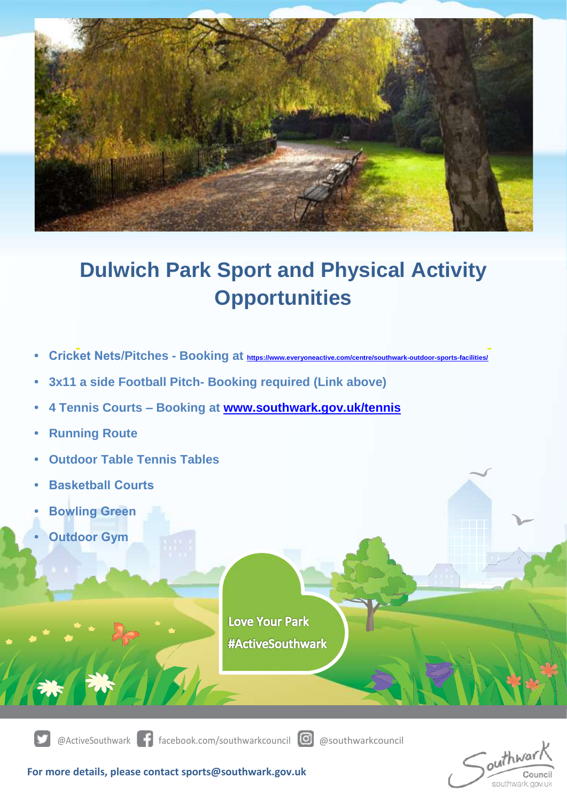

## **Dulwich Park Sport and Physical Activity Opportunities**

- **Cricket Nets/Pitches - Booking at <https://www.everyoneactive.com/centre/southwark-outdoor-sports-facilities/>**
- **3x11 a side Football Pitch- Booking required (Link above)**
- **4 Tennis Courts – Booking at [www.southwark.gov.uk/tennis](http://www.southwark.gov.uk/tennis)**
- **Running Route**
- **Outdoor Table Tennis Tables**
- **Basketball Courts**
- **Bowling Green**
- **Outdoor Gym**

**Love Your Park #ActiveSouthwark** 



@ActiveSouthwark facebook.com/southwarkcouncil @ @southwarkcouncil

outhwar southwark.gov.uk

**For more details, please contact sports@southwark.gov.uk**